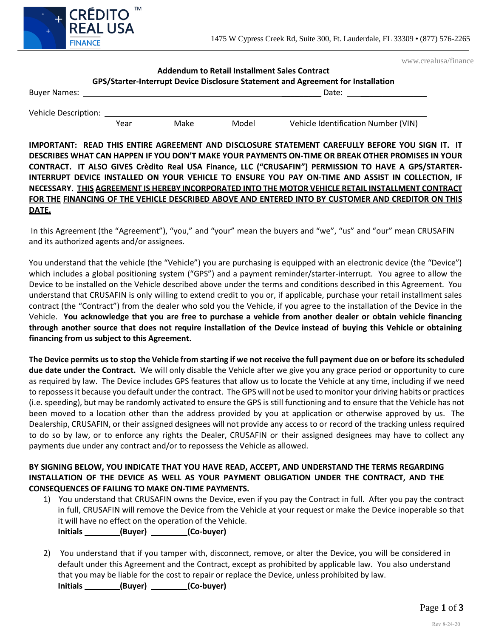

www.crealusa/finance

## **Addendum to Retail Installment Sales Contract GPS/Starter-Interrupt Device Disclosure Statement and Agreement for Installation**

| <b>Buyer Names:</b>         |      |      |       | Date:                               |
|-----------------------------|------|------|-------|-------------------------------------|
| <b>Vehicle Description:</b> |      |      |       |                                     |
|                             | Year | Make | Model | Vehicle Identification Number (VIN) |

**IMPORTANT: READ THIS ENTIRE AGREEMENT AND DISCLOSURE STATEMENT CAREFULLY BEFORE YOU SIGN IT. IT**  DESCRIBES WHAT CAN HAPPEN IF YOU DON'T MAKE YOUR PAYMENTS ON-TIME OR BREAK OTHER PROMISES IN YOUR **CONTRACT. IT ALSO GIVES Crèdito Real USA Finance, LLC ("CRUSAFIN") PERMISSION TO HAVE A GPS/STARTER-INTERRUPT DEVICE INSTALLED ON YOUR VEHICLE TO ENSURE YOU PAY ON-TIME AND ASSIST IN COLLECTION, IF NECESSARY. THIS AGREEMENT IS HEREBY INCORPORATED INTO THE MOTOR VEHICLE RETAIL INSTALLMENT CONTRACT FOR THE FINANCING OF THE VEHICLE DESCRIBED ABOVE AND ENTERED INTO BY CUSTOMER AND CREDITOR ON THIS DATE.**

In this Agreement (the "Agreement"), "you," and "your" mean the buyers and "we", "us" and "our" mean CRUSAFIN and its authorized agents and/or assignees.

You understand that the vehicle (the "Vehicle") you are purchasing is equipped with an electronic device (the "Device") which includes a global positioning system ("GPS") and a payment reminder/starter-interrupt. You agree to allow the Device to be installed on the Vehicle described above under the terms and conditions described in this Agreement. You understand that CRUSAFIN is only willing to extend credit to you or, if applicable, purchase your retail installment sales contract (the "Contract") from the dealer who sold you the Vehicle, if you agree to the installation of the Device in the Vehicle. **You acknowledge that you are free to purchase a vehicle from another dealer or obtain vehicle financing through another source that does not require installation of the Device instead of buying this Vehicle or obtaining financing from us subject to this Agreement.**

The Device permits us to stop the Vehicle from starting if we not receive the full payment due on or before its scheduled **due date under the Contract.** We will only disable the Vehicle after we give you any grace period or opportunity to cure as required by law. The Device includes GPS features that allow us to locate the Vehicle at any time, including if we need to repossessit because you default under the contract. The GPS will not be used to monitor your driving habits or practices (i.e. speeding), but may be randomly activated to ensure the GPS is still functioning and to ensure that the Vehicle has not been moved to a location other than the address provided by you at application or otherwise approved by us. The Dealership, CRUSAFIN, or their assigned designees will not provide any access to or record of the tracking unless required to do so by law, or to enforce any rights the Dealer, CRUSAFIN or their assigned designees may have to collect any payments due under any contract and/or to repossess the Vehicle as allowed.

## **BY SIGNING BELOW, YOU INDICATE THAT YOU HAVE READ, ACCEPT, AND UNDERSTAND THE TERMS REGARDING INSTALLATION OF THE DEVICE AS WELL AS YOUR PAYMENT OBLIGATION UNDER THE CONTRACT, AND THE CONSEQUENCES OF FAILING TO MAKE ON-TIME PAYMENTS.**

- 1) You understand that CRUSAFIN owns the Device, even if you pay the Contract in full. After you pay the contract in full, CRUSAFIN will remove the Device from the Vehicle at your request or make the Device inoperable so that it will have no effect on the operation of the Vehicle. Initials \_\_\_\_\_\_\_\_\_(Buyer) \_\_\_\_\_\_\_\_(Co-buyer)
- 2) You understand that if you tamper with, disconnect, remove, or alter the Device, you will be considered in default under this Agreement and the Contract, except as prohibited by applicable law. You also understand that you may be liable for the cost to repair or replace the Device, unless prohibited by law. **Initials (Buyer) (Co-buyer)**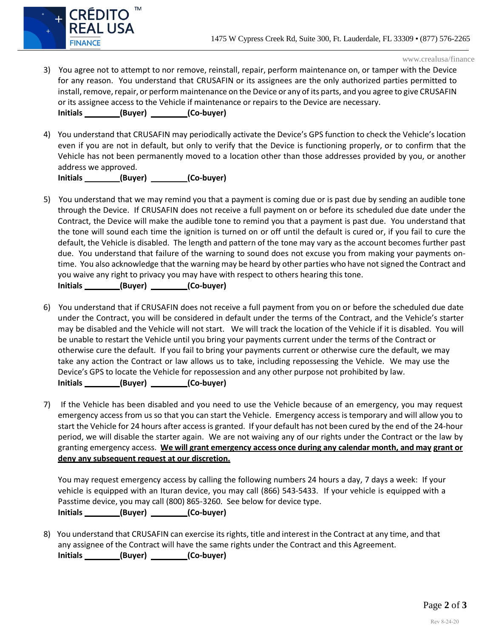

www.crealusa/finance

- 3) You agree not to attempt to nor remove, reinstall, repair, perform maintenance on, or tamper with the Device for any reason. You understand that CRUSAFIN or its assignees are the only authorized parties permitted to install, remove, repair, or perform maintenance on the Device or any of its parts, and you agree to give CRUSAFIN or its assignee access to the Vehicle if maintenance or repairs to the Device are necessary. **Initials (Buyer) (Co-buyer)**
- 4) You understand that CRUSAFIN may periodically activate the Device's GPS function to check the Vehicle's location even if you are not in default, but only to verify that the Device is functioning properly, or to confirm that the Vehicle has not been permanently moved to a location other than those addresses provided by you, or another address we approved.

Initials \_\_\_\_\_\_\_\_\_(Buyer) \_\_\_\_\_\_\_\_(Co-buyer)

- 5) You understand that we may remind you that a payment is coming due or is past due by sending an audible tone through the Device. If CRUSAFIN does not receive a full payment on or before its scheduled due date under the Contract, the Device will make the audible tone to remind you that a payment is past due. You understand that the tone will sound each time the ignition is turned on or off until the default is cured or, if you fail to cure the default, the Vehicle is disabled. The length and pattern of the tone may vary as the account becomes further past due. You understand that failure of the warning to sound does not excuse you from making your payments ontime. You also acknowledge that the warning may be heard by other parties who have not signed the Contract and you waive any right to privacy you may have with respect to others hearing this tone. Initials \_\_\_\_\_\_\_\_(Buyer) \_\_\_\_\_\_\_\_(Co-buyer)
- 6) You understand that if CRUSAFIN does not receive a full payment from you on or before the scheduled due date under the Contract, you will be considered in default under the terms of the Contract, and the Vehicle's starter may be disabled and the Vehicle will not start. We will track the location of the Vehicle if it is disabled. You will be unable to restart the Vehicle until you bring your payments current under the terms of the Contract or otherwise cure the default. If you fail to bring your payments current or otherwise cure the default, we may take any action the Contract or law allows us to take, including repossessing the Vehicle. We may use the Device's GPS to locate the Vehicle for repossession and any other purpose not prohibited by law. **Initials (Buyer) (Co-buyer)**
- 7) If the Vehicle has been disabled and you need to use the Vehicle because of an emergency, you may request emergency access from us so that you can start the Vehicle. Emergency access is temporary and will allow you to start the Vehicle for 24 hours after access is granted. If your default has not been cured by the end of the 24-hour period, we will disable the starter again. We are not waiving any of our rights under the Contract or the law by granting emergency access. **We will grant emergency access once during any calendar month, and may grant or deny any subsequent request at our discretion.**

You may request emergency access by calling the following numbers 24 hours a day, 7 days a week: If your vehicle is equipped with an Ituran device, you may call (866) 543-5433. If your vehicle is equipped with a Passtime device, you may call (800) 865-3260. See below for device type. Initials \_\_\_\_\_\_\_\_\_(Buyer) \_\_\_\_\_\_\_\_\_(Co-buyer)

8) You understand that CRUSAFIN can exercise itsrights, title and interest in the Contract at any time, and that any assignee of the Contract will have the same rights under the Contract and this Agreement. Initials \_\_\_\_\_\_\_\_\_(Buyer) \_\_\_\_\_\_\_\_(Co-buyer)